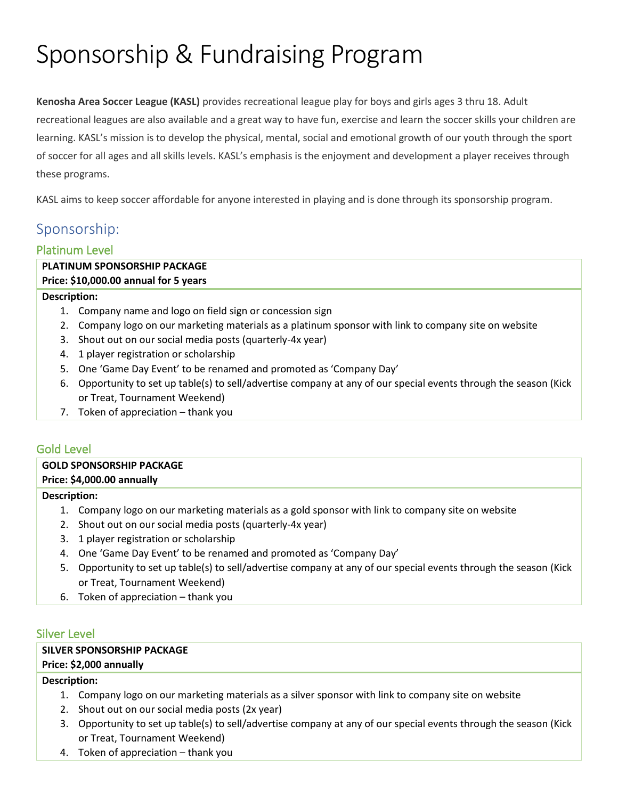# Sponsorship & Fundraising Program

**Kenosha Area Soccer League (KASL)** provides recreational league play for boys and girls ages 3 thru 18. Adult recreational leagues are also available and a great way to have fun, exercise and learn the soccer skills your children are learning. KASL's mission is to develop the physical, mental, social and emotional growth of our youth through the sport of soccer for all ages and all skills levels. KASL's emphasis is the enjoyment and development a player receives through these programs.

KASL aims to keep soccer affordable for anyone interested in playing and is done through its sponsorship program.

# Sponsorship:

# Platinum Level

#### **PLATINUM SPONSORSHIP PACKAGE Price: \$10,000.00 annual for 5 years**

#### **Description:**

- 1. Company name and logo on field sign or concession sign
- 2. Company logo on our marketing materials as a platinum sponsor with link to company site on website
- 3. Shout out on our social media posts (quarterly-4x year)
- 4. 1 player registration or scholarship
- 5. One 'Game Day Event' to be renamed and promoted as 'Company Day'
- 6. Opportunity to set up table(s) to sell/advertise company at any of our special events through the season (Kick or Treat, Tournament Weekend)
- 7. Token of appreciation thank you

# Gold Level

# **GOLD SPONSORSHIP PACKAGE**

# **Price: \$4,000.00 annually**

#### **Description:**

- 1. Company logo on our marketing materials as a gold sponsor with link to company site on website
- 2. Shout out on our social media posts (quarterly-4x year)
- 3. 1 player registration or scholarship
- 4. One 'Game Day Event' to be renamed and promoted as 'Company Day'
- 5. Opportunity to set up table(s) to sell/advertise company at any of our special events through the season (Kick or Treat, Tournament Weekend)
- 6. Token of appreciation thank you

# Silver Level

# **SILVER SPONSORSHIP PACKAGE**

# **Price: \$2,000 annually**

# **Description:**

- 1. Company logo on our marketing materials as a silver sponsor with link to company site on website
- 2. Shout out on our social media posts (2x year)
- 3. Opportunity to set up table(s) to sell/advertise company at any of our special events through the season (Kick or Treat, Tournament Weekend)
- 4. Token of appreciation thank you